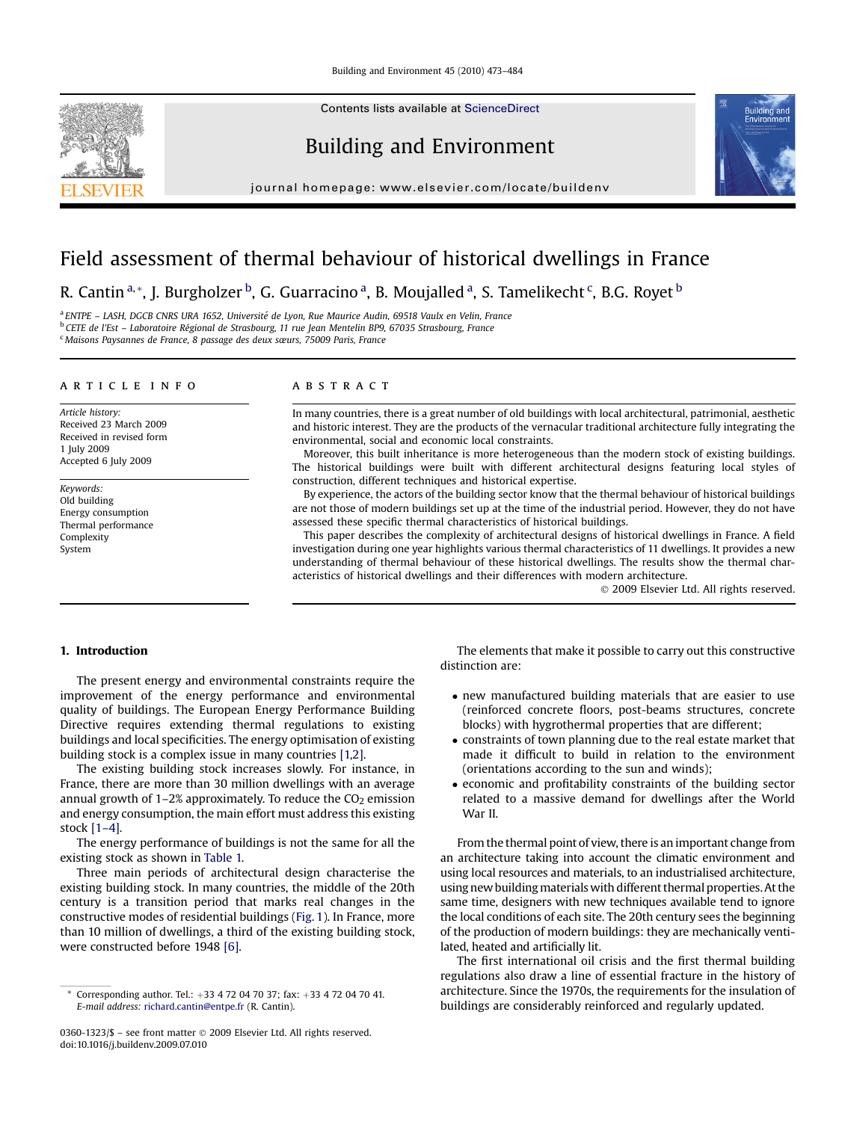Contents lists available at [ScienceDirect](www.sciencedirect.com/science/journal/03601323)

# Building and Environment

journal homepage: [www.elsevier.com/locate/buildenv](http://www.elsevier.com/locate/buildenv)



# Field assessment of thermal behaviour of historical dwellings in France

R. Cantin <sup>a,</sup>\*, J. Burgholzer <sup>b</sup>, G. Guarracino <sup>a</sup>, B. Moujalled <sup>a</sup>, S. Tamelikecht <sup>c</sup>, B.G. Royet <sup>b</sup>

<sup>a</sup> ENTPE – LASH, DGCB CNRS URA 1652, Université de Lyon, Rue Maurice Audin, 69518 Vaulx en Velin, France <sup>b</sup> CETE de l'Est - Laboratoire Régional de Strasbourg, 11 rue Jean Mentelin BP9, 67035 Strasbourg, France <sup>c</sup> Maisons Paysannes de France, 8 passage des deux sœurs, 75009 Paris, France

### article info

Article history: Received 23 March 2009 Received in revised form 1 July 2009 Accepted 6 July 2009

Keywords: Old building Energy consumption Thermal performance Complexity System

## **ABSTRACT**

In many countries, there is a great number of old buildings with local architectural, patrimonial, aesthetic and historic interest. They are the products of the vernacular traditional architecture fully integrating the environmental, social and economic local constraints.

Moreover, this built inheritance is more heterogeneous than the modern stock of existing buildings. The historical buildings were built with different architectural designs featuring local styles of construction, different techniques and historical expertise.

By experience, the actors of the building sector know that the thermal behaviour of historical buildings are not those of modern buildings set up at the time of the industrial period. However, they do not have assessed these specific thermal characteristics of historical buildings.

This paper describes the complexity of architectural designs of historical dwellings in France. A field investigation during one year highlights various thermal characteristics of 11 dwellings. It provides a new understanding of thermal behaviour of these historical dwellings. The results show the thermal characteristics of historical dwellings and their differences with modern architecture.

- 2009 Elsevier Ltd. All rights reserved.

# 1. Introduction

The present energy and environmental constraints require the improvement of the energy performance and environmental quality of buildings. The European Energy Performance Building Directive requires extending thermal regulations to existing buildings and local specificities. The energy optimisation of existing building stock is a complex issue in many countries [\[1,2\]](#page--1-0).

The existing building stock increases slowly. For instance, in France, there are more than 30 million dwellings with an average annual growth of  $1-2\%$  approximately. To reduce the  $CO<sub>2</sub>$  emission and energy consumption, the main effort must address this existing stock [\[1–4\].](#page--1-0)

The energy performance of buildings is not the same for all the existing stock as shown in [Table 1.](#page-1-0)

Three main periods of architectural design characterise the existing building stock. In many countries, the middle of the 20th century is a transition period that marks real changes in the constructive modes of residential buildings [\(Fig. 1\)](#page-1-0). In France, more than 10 million of dwellings, a third of the existing building stock, were constructed before 1948 [\[6\].](#page--1-0)

The elements that make it possible to carry out this constructive distinction are:

- new manufactured building materials that are easier to use (reinforced concrete floors, post-beams structures, concrete blocks) with hygrothermal properties that are different;
- constraints of town planning due to the real estate market that made it difficult to build in relation to the environment (orientations according to the sun and winds);
- economic and profitability constraints of the building sector related to a massive demand for dwellings after the World War II.

From the thermal point of view, there is an important change from an architecture taking into account the climatic environment and using local resources and materials, to an industrialised architecture, using new building materials with different thermal properties. At the same time, designers with new techniques available tend to ignore the local conditions of each site. The 20th century sees the beginning of the production of modern buildings: they are mechanically ventilated, heated and artificially lit.

The first international oil crisis and the first thermal building regulations also draw a line of essential fracture in the history of architecture. Since the 1970s, the requirements for the insulation of buildings are considerably reinforced and regularly updated.

Corresponding author. Tel.:  $+33$  4 72 04 70 37; fax:  $+33$  4 72 04 70 41. E-mail address: [richard.cantin@entpe.fr](mailto:richard.cantin@entpe.fr) (R. Cantin).

<sup>0360-1323/\$ –</sup> see front matter © 2009 Elsevier Ltd. All rights reserved. doi:10.1016/j.buildenv.2009.07.010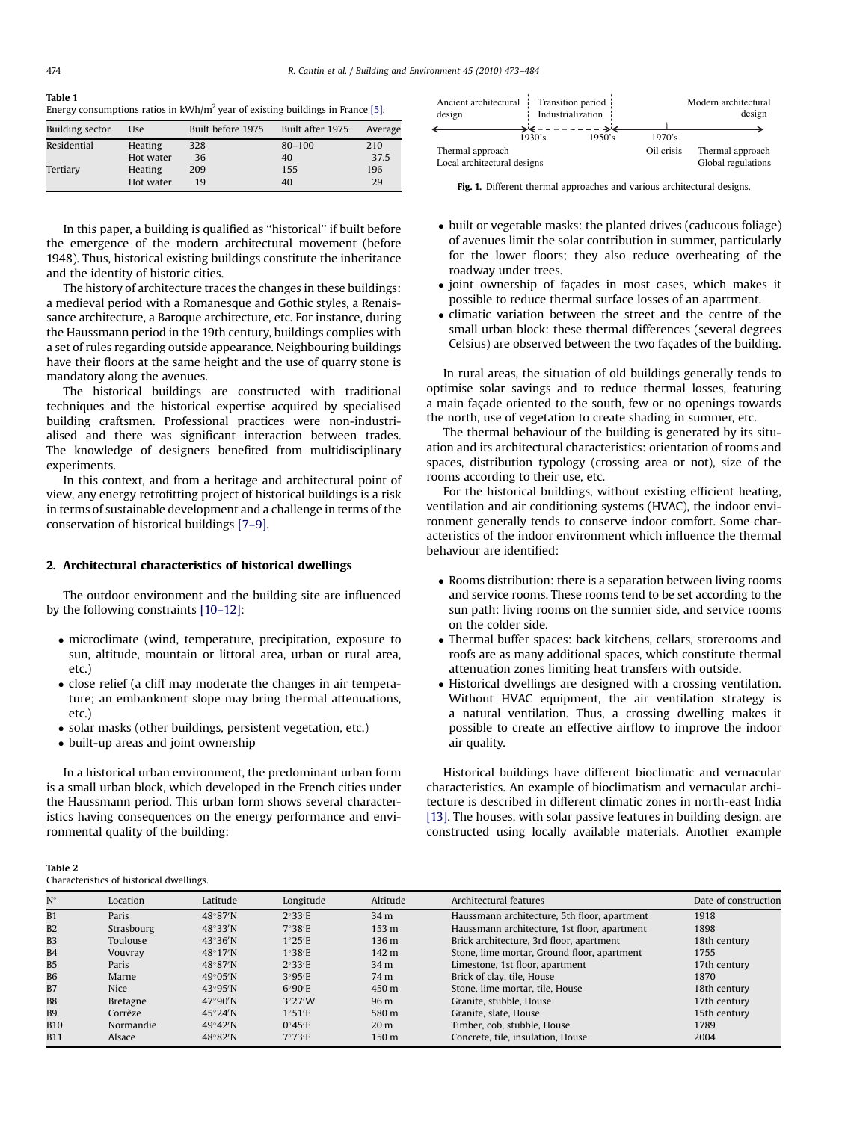### <span id="page-1-0"></span>Table 1

Energy consumptions ratios in  $kWh/m^2$  year of existing buildings in France [\[5\].](#page--1-0)

| <b>Building sector</b> | Use       | Built before 1975 | Built after 1975 | Average |
|------------------------|-----------|-------------------|------------------|---------|
| Residential            | Heating   | 328               | $80 - 100$       | 210     |
|                        | Hot water | 36                | 40               | 37.5    |
| Tertiary               | Heating   | 209               | 155              | 196     |
|                        | Hot water | 19                | 40               | 29      |

In this paper, a building is qualified as ''historical'' if built before the emergence of the modern architectural movement (before 1948). Thus, historical existing buildings constitute the inheritance and the identity of historic cities.

The history of architecture traces the changes in these buildings: a medieval period with a Romanesque and Gothic styles, a Renaissance architecture, a Baroque architecture, etc. For instance, during the Haussmann period in the 19th century, buildings complies with a set of rules regarding outside appearance. Neighbouring buildings have their floors at the same height and the use of quarry stone is mandatory along the avenues.

The historical buildings are constructed with traditional techniques and the historical expertise acquired by specialised building craftsmen. Professional practices were non-industrialised and there was significant interaction between trades. The knowledge of designers benefited from multidisciplinary experiments.

In this context, and from a heritage and architectural point of view, any energy retrofitting project of historical buildings is a risk in terms of sustainable development and a challenge in terms of the conservation of historical buildings [\[7–9\].](#page--1-0)

## 2. Architectural characteristics of historical dwellings

The outdoor environment and the building site are influenced by the following constraints [\[10–12\]](#page--1-0):

- microclimate (wind, temperature, precipitation, exposure to sun, altitude, mountain or littoral area, urban or rural area, etc.)
- close relief (a cliff may moderate the changes in air temperature; an embankment slope may bring thermal attenuations, etc.)
- solar masks (other buildings, persistent vegetation, etc.)
- built-up areas and joint ownership

In a historical urban environment, the predominant urban form is a small urban block, which developed in the French cities under the Haussmann period. This urban form shows several characteristics having consequences on the energy performance and environmental quality of the building:

| Ancient architectural Transition period<br>design | Industrialization |        | Modern architectural<br>design |                    |  |
|---------------------------------------------------|-------------------|--------|--------------------------------|--------------------|--|
|                                                   |                   | 1950's | 1970's                         |                    |  |
|                                                   | 1930's            |        |                                |                    |  |
| Thermal approach                                  |                   |        | Oil crisis                     | Thermal approach   |  |
| Local architectural designs                       |                   |        |                                | Global regulations |  |

Fig. 1. Different thermal approaches and various architectural designs.

- built or vegetable masks: the planted drives (caducous foliage) of avenues limit the solar contribution in summer, particularly for the lower floors; they also reduce overheating of the roadway under trees.
- joint ownership of façades in most cases, which makes it possible to reduce thermal surface losses of an apartment.
- climatic variation between the street and the centre of the small urban block: these thermal differences (several degrees Celsius) are observed between the two façades of the building.

In rural areas, the situation of old buildings generally tends to optimise solar savings and to reduce thermal losses, featuring a main façade oriented to the south, few or no openings towards the north, use of vegetation to create shading in summer, etc.

The thermal behaviour of the building is generated by its situation and its architectural characteristics: orientation of rooms and spaces, distribution typology (crossing area or not), size of the rooms according to their use, etc.

For the historical buildings, without existing efficient heating, ventilation and air conditioning systems (HVAC), the indoor environment generally tends to conserve indoor comfort. Some characteristics of the indoor environment which influence the thermal behaviour are identified:

- Rooms distribution: there is a separation between living rooms and service rooms. These rooms tend to be set according to the sun path: living rooms on the sunnier side, and service rooms on the colder side.
- Thermal buffer spaces: back kitchens, cellars, storerooms and roofs are as many additional spaces, which constitute thermal attenuation zones limiting heat transfers with outside.
- Historical dwellings are designed with a crossing ventilation. Without HVAC equipment, the air ventilation strategy is a natural ventilation. Thus, a crossing dwelling makes it possible to create an effective airflow to improve the indoor air quality.

Historical buildings have different bioclimatic and vernacular characteristics. An example of bioclimatism and vernacular architecture is described in different climatic zones in north-east India [\[13\].](#page--1-0) The houses, with solar passive features in building design, are constructed using locally available materials. Another example

| H<br>U<br>ш |  |
|-------------|--|
|-------------|--|

Characteristics of historical dwellings.

| $N^{\circ}$ | Location    | Latitude                 | Longitude       | Altitude        | Architectural features                       | Date of construction |
|-------------|-------------|--------------------------|-----------------|-----------------|----------------------------------------------|----------------------|
| B1          | Paris       | $48^\circ 87'$ N         | 2°33'E          | 34 m            | Haussmann architecture, 5th floor, apartment | 1918                 |
| <b>B2</b>   | Strasbourg  | $48^{\circ}33'$ N        | 7°38'E          | 153 m           | Haussmann architecture, 1st floor, apartment | 1898                 |
| <b>B3</b>   | Toulouse    | $43^\circ 36'$ N         | 1°25'E          | 136 m           | Brick architecture, 3rd floor, apartment     | 18th century         |
| <b>B4</b>   | Vouvray     | $48^\circ 17'$ N         | 1°38'E          | 142 m           | Stone, lime mortar, Ground floor, apartment  | 1755                 |
| <b>B5</b>   | Paris       | $48^\circ 87'$ N         | 2°33'E          | 34 <sub>m</sub> | Limestone, 1st floor, apartment              | 17th century         |
| <b>B6</b>   | Marne       | $49^{\circ}05'$ N        | 3°95'E          | 74 m            | Brick of clay, tile, House                   | 1870                 |
| <b>B7</b>   | <b>Nice</b> | $43^\circ 95'$ N         | 6°90'E          | 450 m           | Stone, lime mortar, tile, House              | 18th century         |
| <b>B8</b>   | Bretagne    | $47^\circ 90'$ N         | 3°27'W          | 96 m            | Granite, stubble, House                      | 17th century         |
| <b>B9</b>   | Corrèze     | $45^{\circ}24^{\prime}N$ | 1°51'E          | 580 m           | Granite, slate, House                        | 15th century         |
| <b>B10</b>  | Normandie   | $49^{\circ}42'$ N        | 0°45'E          | 20 <sub>m</sub> | Timber, cob, stubble, House                  | 1789                 |
| <b>B11</b>  | Alsace      | $48^\circ 82'$ N         | $7^{\circ}73'E$ | 150 m           | Concrete, tile, insulation, House            | 2004                 |